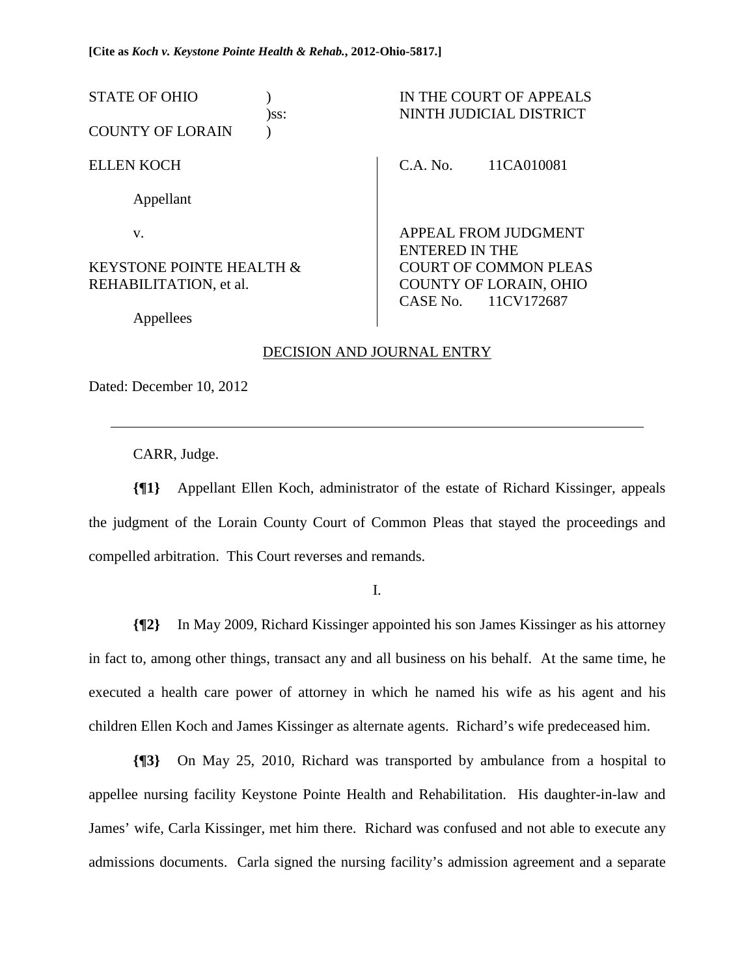| STATE OF OHIO<br><b>COUNTY OF LORAIN</b> | $)$ ss: |                              | IN THE COURT OF APPEALS<br>NINTH JUDICIAL DISTRICT |
|------------------------------------------|---------|------------------------------|----------------------------------------------------|
|                                          |         |                              |                                                    |
| <b>ELLEN KOCH</b>                        |         | C.A. No.                     | 11CA010081                                         |
| Appellant                                |         |                              |                                                    |
| V.                                       |         | <b>ENTERED IN THE</b>        | <b>APPEAL FROM JUDGMENT</b>                        |
| <b>KEYSTONE POINTE HEALTH &amp;</b>      |         | <b>COURT OF COMMON PLEAS</b> |                                                    |
| REHABILITATION, et al.                   |         | CASE No. 11CV172687          | <b>COUNTY OF LORAIN, OHIO</b>                      |
| Appellees                                |         |                              |                                                    |

# DECISION AND JOURNAL ENTRY

Dated: December 10, 2012

 $\overline{a}$ 

CARR, Judge.

**{¶1}** Appellant Ellen Koch, administrator of the estate of Richard Kissinger, appeals the judgment of the Lorain County Court of Common Pleas that stayed the proceedings and compelled arbitration. This Court reverses and remands.

I.

**{¶2}** In May 2009, Richard Kissinger appointed his son James Kissinger as his attorney in fact to, among other things, transact any and all business on his behalf. At the same time, he executed a health care power of attorney in which he named his wife as his agent and his children Ellen Koch and James Kissinger as alternate agents. Richard's wife predeceased him.

**{¶3}** On May 25, 2010, Richard was transported by ambulance from a hospital to appellee nursing facility Keystone Pointe Health and Rehabilitation. His daughter-in-law and James' wife, Carla Kissinger, met him there. Richard was confused and not able to execute any admissions documents. Carla signed the nursing facility's admission agreement and a separate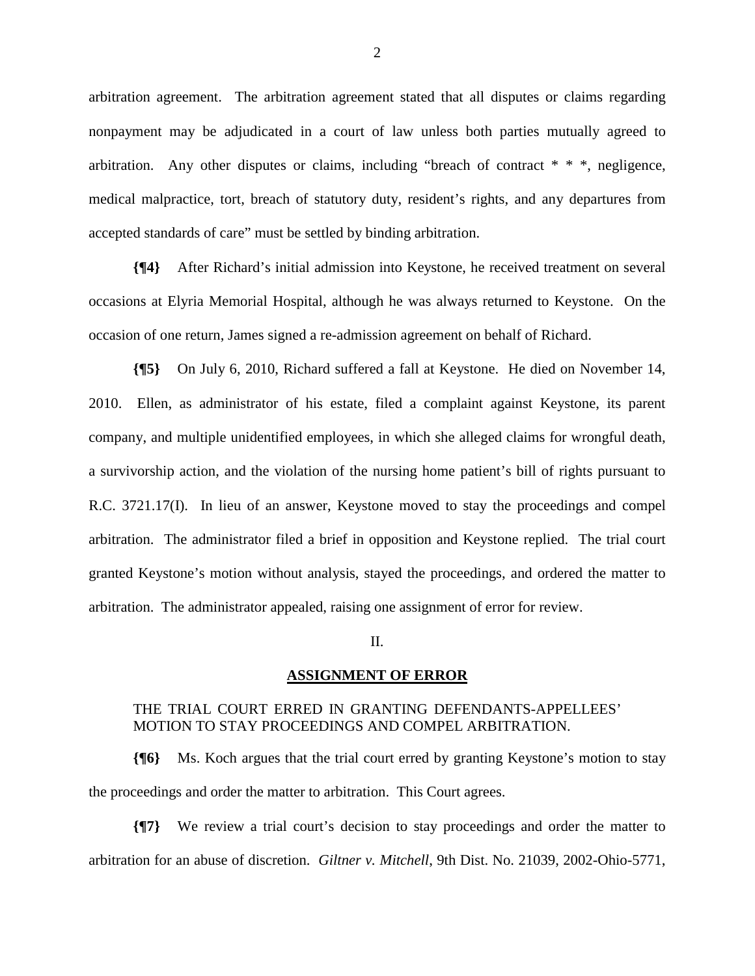arbitration agreement. The arbitration agreement stated that all disputes or claims regarding nonpayment may be adjudicated in a court of law unless both parties mutually agreed to arbitration. Any other disputes or claims, including "breach of contract \* \* \*, negligence, medical malpractice, tort, breach of statutory duty, resident's rights, and any departures from accepted standards of care" must be settled by binding arbitration.

**{¶4}** After Richard's initial admission into Keystone, he received treatment on several occasions at Elyria Memorial Hospital, although he was always returned to Keystone. On the occasion of one return, James signed a re-admission agreement on behalf of Richard.

**{¶5}** On July 6, 2010, Richard suffered a fall at Keystone. He died on November 14, 2010. Ellen, as administrator of his estate, filed a complaint against Keystone, its parent company, and multiple unidentified employees, in which she alleged claims for wrongful death, a survivorship action, and the violation of the nursing home patient's bill of rights pursuant to R.C. 3721.17(I). In lieu of an answer, Keystone moved to stay the proceedings and compel arbitration. The administrator filed a brief in opposition and Keystone replied. The trial court granted Keystone's motion without analysis, stayed the proceedings, and ordered the matter to arbitration. The administrator appealed, raising one assignment of error for review.

II.

## **ASSIGNMENT OF ERROR**

# THE TRIAL COURT ERRED IN GRANTING DEFENDANTS-APPELLEES' MOTION TO STAY PROCEEDINGS AND COMPEL ARBITRATION.

**{¶6}** Ms. Koch argues that the trial court erred by granting Keystone's motion to stay the proceedings and order the matter to arbitration. This Court agrees.

**{¶7}** We review a trial court's decision to stay proceedings and order the matter to arbitration for an abuse of discretion. *Giltner v. Mitchell*, 9th Dist. No. 21039, 2002-Ohio-5771,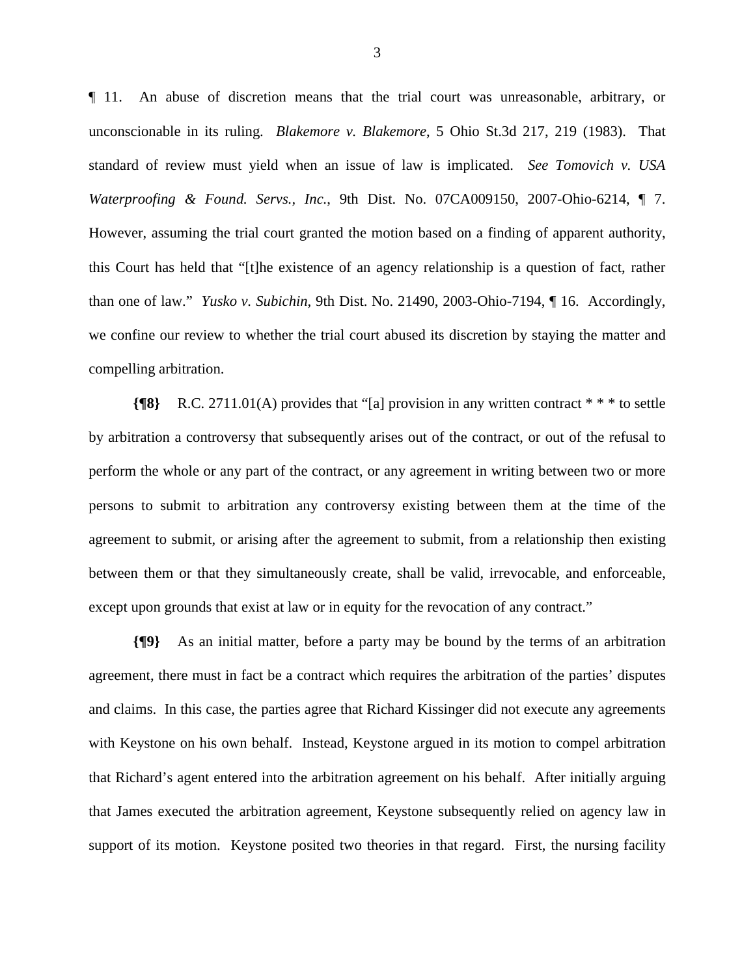¶ 11. An abuse of discretion means that the trial court was unreasonable, arbitrary, or unconscionable in its ruling. *Blakemore v. Blakemore*, 5 Ohio St.3d 217, 219 (1983). That standard of review must yield when an issue of law is implicated. *See Tomovich v. USA Waterproofing & Found. Servs., Inc.*, 9th Dist. No. 07CA009150, 2007-Ohio-6214, ¶ 7. However, assuming the trial court granted the motion based on a finding of apparent authority, this Court has held that "[t]he existence of an agency relationship is a question of fact, rather than one of law." *Yusko v. Subichin*, 9th Dist. No. 21490, 2003-Ohio-7194, ¶ 16. Accordingly, we confine our review to whether the trial court abused its discretion by staying the matter and compelling arbitration.

**{¶8}** R.C. 2711.01(A) provides that "[a] provision in any written contract \* \* \* to settle by arbitration a controversy that subsequently arises out of the contract, or out of the refusal to perform the whole or any part of the contract, or any agreement in writing between two or more persons to submit to arbitration any controversy existing between them at the time of the agreement to submit, or arising after the agreement to submit, from a relationship then existing between them or that they simultaneously create, shall be valid, irrevocable, and enforceable, except upon grounds that exist at law or in equity for the revocation of any contract."

**{¶9}** As an initial matter, before a party may be bound by the terms of an arbitration agreement, there must in fact be a contract which requires the arbitration of the parties' disputes and claims. In this case, the parties agree that Richard Kissinger did not execute any agreements with Keystone on his own behalf. Instead, Keystone argued in its motion to compel arbitration that Richard's agent entered into the arbitration agreement on his behalf. After initially arguing that James executed the arbitration agreement, Keystone subsequently relied on agency law in support of its motion. Keystone posited two theories in that regard. First, the nursing facility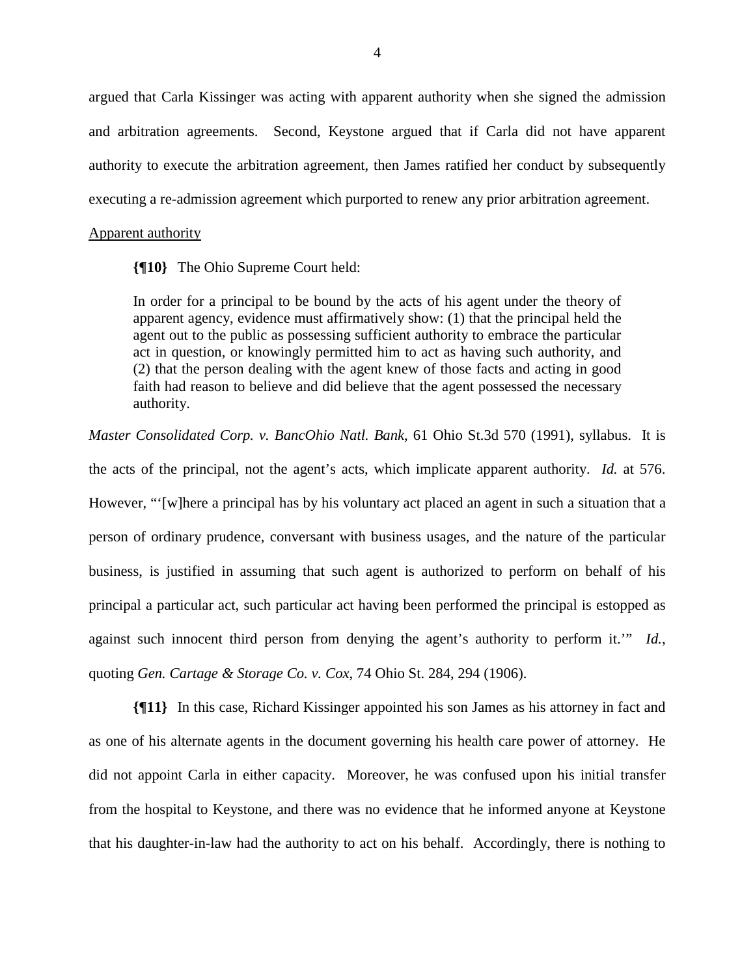argued that Carla Kissinger was acting with apparent authority when she signed the admission and arbitration agreements. Second, Keystone argued that if Carla did not have apparent authority to execute the arbitration agreement, then James ratified her conduct by subsequently executing a re-admission agreement which purported to renew any prior arbitration agreement.

#### Apparent authority

**{¶10}** The Ohio Supreme Court held:

In order for a principal to be bound by the acts of his agent under the theory of apparent agency, evidence must affirmatively show: (1) that the principal held the agent out to the public as possessing sufficient authority to embrace the particular act in question, or knowingly permitted him to act as having such authority, and (2) that the person dealing with the agent knew of those facts and acting in good faith had reason to believe and did believe that the agent possessed the necessary authority.

*Master Consolidated Corp. v. BancOhio Natl. Bank*, 61 Ohio St.3d 570 (1991), syllabus. It is the acts of the principal, not the agent's acts, which implicate apparent authority. *Id.* at 576. However, "'[w]here a principal has by his voluntary act placed an agent in such a situation that a person of ordinary prudence, conversant with business usages, and the nature of the particular business, is justified in assuming that such agent is authorized to perform on behalf of his principal a particular act, such particular act having been performed the principal is estopped as against such innocent third person from denying the agent's authority to perform it.'" *Id.*, quoting *Gen. Cartage & Storage Co. v. Cox*, 74 Ohio St. 284, 294 (1906).

**{¶11}** In this case, Richard Kissinger appointed his son James as his attorney in fact and as one of his alternate agents in the document governing his health care power of attorney. He did not appoint Carla in either capacity. Moreover, he was confused upon his initial transfer from the hospital to Keystone, and there was no evidence that he informed anyone at Keystone that his daughter-in-law had the authority to act on his behalf. Accordingly, there is nothing to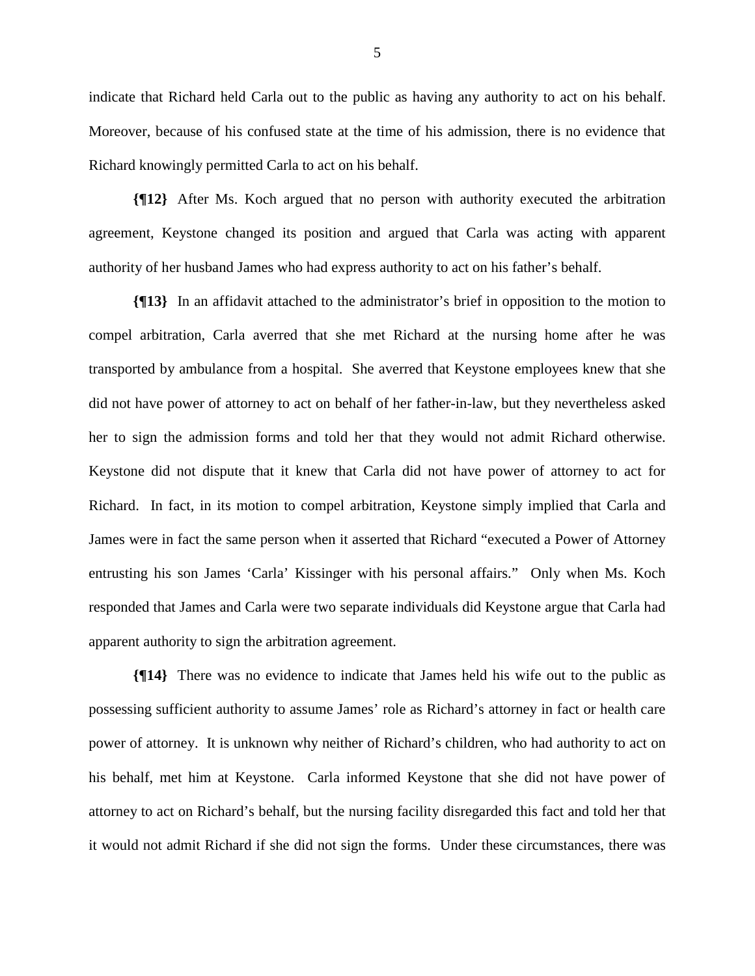indicate that Richard held Carla out to the public as having any authority to act on his behalf. Moreover, because of his confused state at the time of his admission, there is no evidence that Richard knowingly permitted Carla to act on his behalf.

**{¶12}** After Ms. Koch argued that no person with authority executed the arbitration agreement, Keystone changed its position and argued that Carla was acting with apparent authority of her husband James who had express authority to act on his father's behalf.

**{¶13}** In an affidavit attached to the administrator's brief in opposition to the motion to compel arbitration, Carla averred that she met Richard at the nursing home after he was transported by ambulance from a hospital. She averred that Keystone employees knew that she did not have power of attorney to act on behalf of her father-in-law, but they nevertheless asked her to sign the admission forms and told her that they would not admit Richard otherwise. Keystone did not dispute that it knew that Carla did not have power of attorney to act for Richard. In fact, in its motion to compel arbitration, Keystone simply implied that Carla and James were in fact the same person when it asserted that Richard "executed a Power of Attorney entrusting his son James 'Carla' Kissinger with his personal affairs." Only when Ms. Koch responded that James and Carla were two separate individuals did Keystone argue that Carla had apparent authority to sign the arbitration agreement.

**{¶14}** There was no evidence to indicate that James held his wife out to the public as possessing sufficient authority to assume James' role as Richard's attorney in fact or health care power of attorney. It is unknown why neither of Richard's children, who had authority to act on his behalf, met him at Keystone. Carla informed Keystone that she did not have power of attorney to act on Richard's behalf, but the nursing facility disregarded this fact and told her that it would not admit Richard if she did not sign the forms. Under these circumstances, there was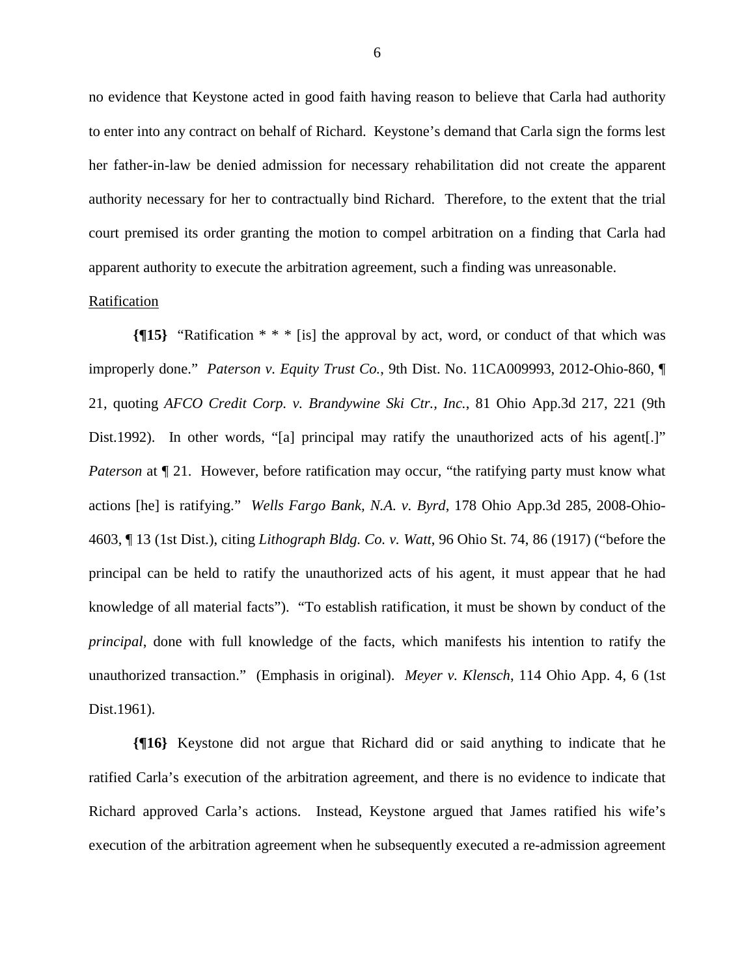no evidence that Keystone acted in good faith having reason to believe that Carla had authority to enter into any contract on behalf of Richard. Keystone's demand that Carla sign the forms lest her father-in-law be denied admission for necessary rehabilitation did not create the apparent authority necessary for her to contractually bind Richard. Therefore, to the extent that the trial court premised its order granting the motion to compel arbitration on a finding that Carla had apparent authority to execute the arbitration agreement, such a finding was unreasonable.

## Ratification

**{¶15}** "Ratification \* \* \* [is] the approval by act, word, or conduct of that which was improperly done." *Paterson v. Equity Trust Co.*, 9th Dist. No. 11CA009993, 2012-Ohio-860, ¶ 21, quoting *AFCO Credit Corp. v. Brandywine Ski Ctr., Inc.*, 81 Ohio App.3d 217, 221 (9th Dist.1992). In other words, "[a] principal may ratify the unauthorized acts of his agent.]" *Paterson* at  $\P$  21. However, before ratification may occur, "the ratifying party must know what actions [he] is ratifying." *Wells Fargo Bank, N.A. v. Byrd*, 178 Ohio App.3d 285, 2008-Ohio-4603, ¶ 13 (1st Dist.), citing *Lithograph Bldg. Co. v. Watt*, 96 Ohio St. 74, 86 (1917) ("before the principal can be held to ratify the unauthorized acts of his agent, it must appear that he had knowledge of all material facts"). "To establish ratification, it must be shown by conduct of the *principal*, done with full knowledge of the facts, which manifests his intention to ratify the unauthorized transaction." (Emphasis in original). *Meyer v. Klensch*, 114 Ohio App. 4, 6 (1st Dist.1961).

**{¶16}** Keystone did not argue that Richard did or said anything to indicate that he ratified Carla's execution of the arbitration agreement, and there is no evidence to indicate that Richard approved Carla's actions. Instead, Keystone argued that James ratified his wife's execution of the arbitration agreement when he subsequently executed a re-admission agreement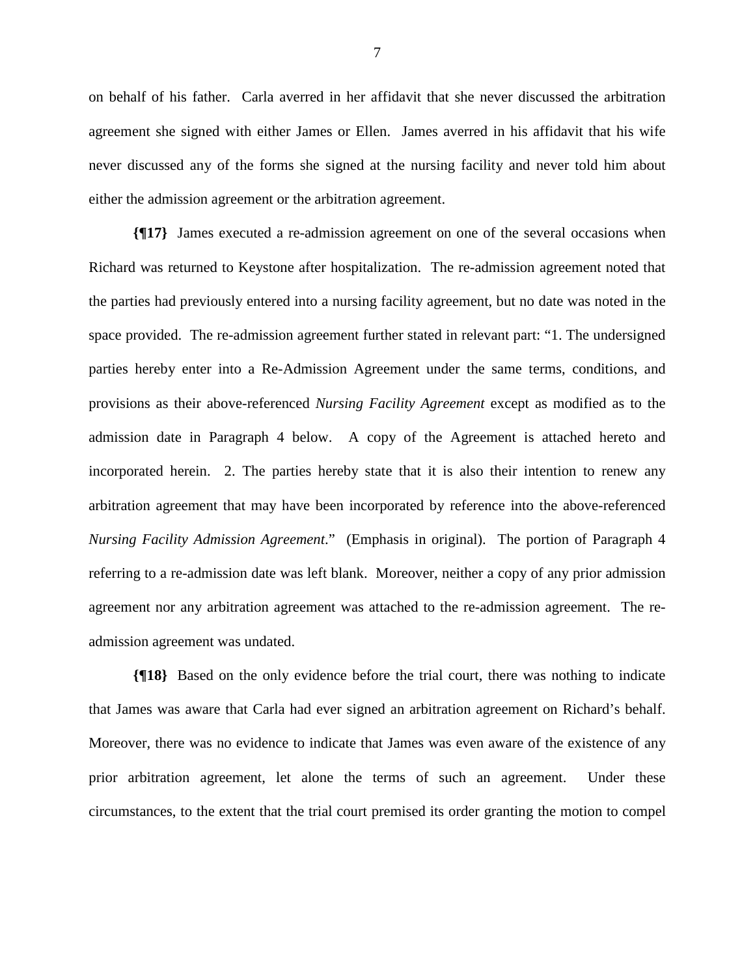on behalf of his father. Carla averred in her affidavit that she never discussed the arbitration agreement she signed with either James or Ellen. James averred in his affidavit that his wife never discussed any of the forms she signed at the nursing facility and never told him about either the admission agreement or the arbitration agreement.

**{¶17}** James executed a re-admission agreement on one of the several occasions when Richard was returned to Keystone after hospitalization. The re-admission agreement noted that the parties had previously entered into a nursing facility agreement, but no date was noted in the space provided. The re-admission agreement further stated in relevant part: "1. The undersigned parties hereby enter into a Re-Admission Agreement under the same terms, conditions, and provisions as their above-referenced *Nursing Facility Agreement* except as modified as to the admission date in Paragraph 4 below. A copy of the Agreement is attached hereto and incorporated herein. 2. The parties hereby state that it is also their intention to renew any arbitration agreement that may have been incorporated by reference into the above-referenced *Nursing Facility Admission Agreement*." (Emphasis in original). The portion of Paragraph 4 referring to a re-admission date was left blank. Moreover, neither a copy of any prior admission agreement nor any arbitration agreement was attached to the re-admission agreement. The readmission agreement was undated.

**{¶18}** Based on the only evidence before the trial court, there was nothing to indicate that James was aware that Carla had ever signed an arbitration agreement on Richard's behalf. Moreover, there was no evidence to indicate that James was even aware of the existence of any prior arbitration agreement, let alone the terms of such an agreement. Under these circumstances, to the extent that the trial court premised its order granting the motion to compel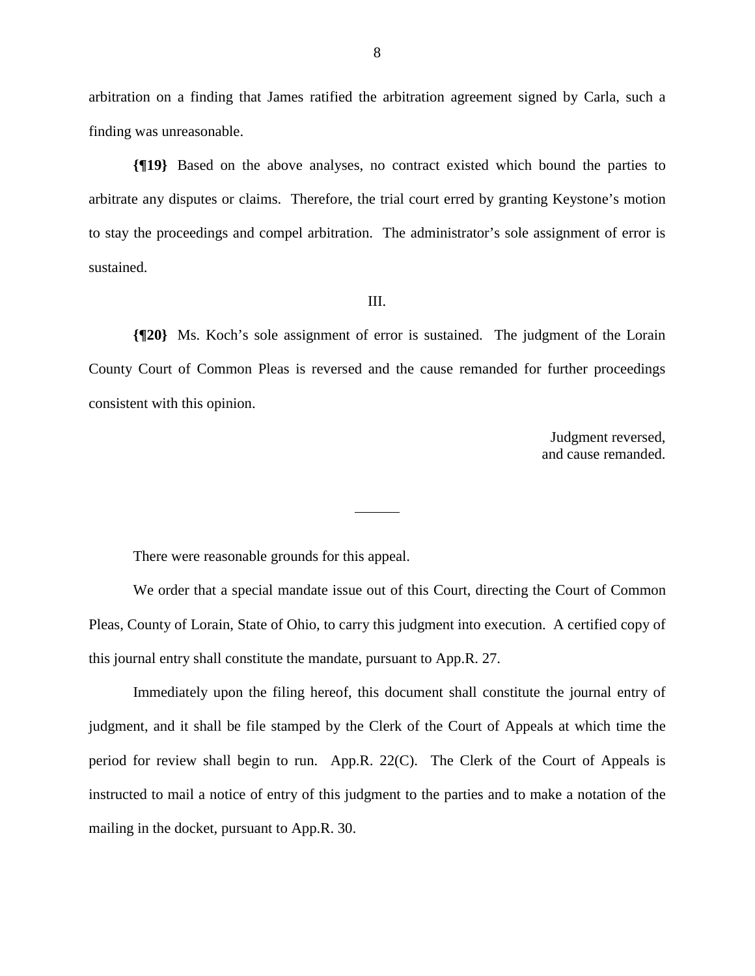arbitration on a finding that James ratified the arbitration agreement signed by Carla, such a finding was unreasonable.

**{¶19}** Based on the above analyses, no contract existed which bound the parties to arbitrate any disputes or claims. Therefore, the trial court erred by granting Keystone's motion to stay the proceedings and compel arbitration. The administrator's sole assignment of error is sustained.

### III.

**{¶20}** Ms. Koch's sole assignment of error is sustained. The judgment of the Lorain County Court of Common Pleas is reversed and the cause remanded for further proceedings consistent with this opinion.

> Judgment reversed, and cause remanded.

There were reasonable grounds for this appeal.

 We order that a special mandate issue out of this Court, directing the Court of Common Pleas, County of Lorain, State of Ohio, to carry this judgment into execution. A certified copy of this journal entry shall constitute the mandate, pursuant to App.R. 27.

 Immediately upon the filing hereof, this document shall constitute the journal entry of judgment, and it shall be file stamped by the Clerk of the Court of Appeals at which time the period for review shall begin to run. App.R. 22(C). The Clerk of the Court of Appeals is instructed to mail a notice of entry of this judgment to the parties and to make a notation of the mailing in the docket, pursuant to App.R. 30.